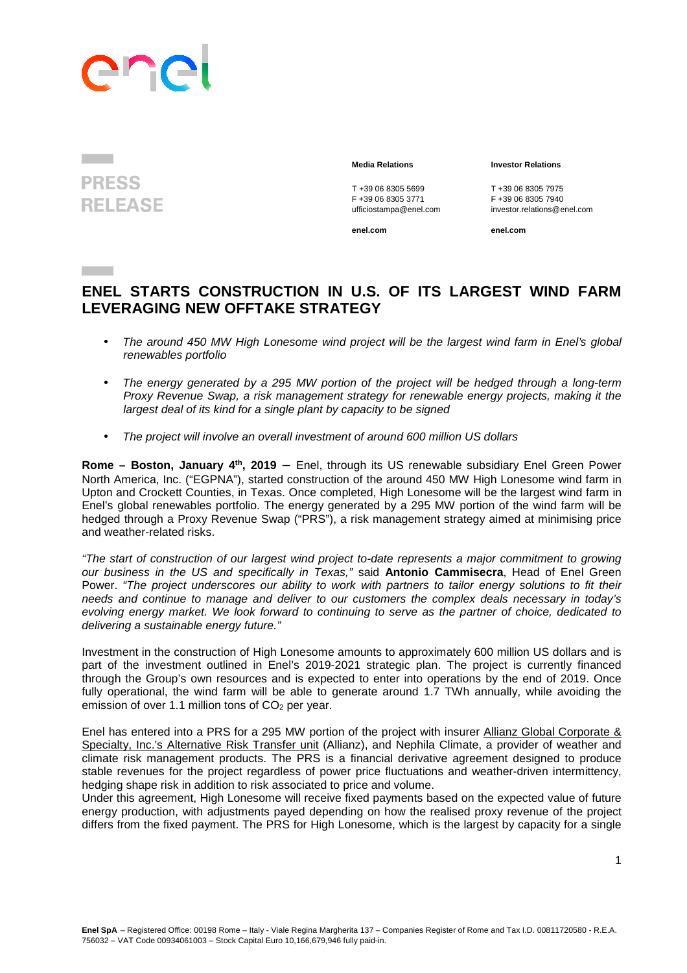

## **PRESS RELEASE**

T +39 06 8305 5699<br>
F +39 06 8305 3771<br>
F +39 06 8305 3771<br>
F +39 06 8305 7940 F +39 06 8305 3771 F +39 06 8305 7940

## **Media Relations Investor Relations**

ufficiostampa@enel.com investor.relations@enel.com

**enel.com enel.com**

## **ENEL STARTS CONSTRUCTION IN U.S. OF ITS LARGEST WIND FARM LEVERAGING NEW OFFTAKE STRATEGY**

- The around 450 MW High Lonesome wind project will be the largest wind farm in Enel's global renewables portfolio
- The energy generated by a 295 MW portion of the project will be hedged through a long-term Proxy Revenue Swap, a risk management strategy for renewable energy projects, making it the largest deal of its kind for a single plant by capacity to be signed
- The project will involve an overall investment of around 600 million US dollars

**Rome – Boston, January 4th, 2019** – Enel, through its US renewable subsidiary Enel Green Power North America, Inc. ("EGPNA"), started construction of the around 450 MW High Lonesome wind farm in Upton and Crockett Counties, in Texas. Once completed, High Lonesome will be the largest wind farm in Enel's global renewables portfolio. The energy generated by a 295 MW portion of the wind farm will be hedged through a Proxy Revenue Swap ("PRS"), a risk management strategy aimed at minimising price and weather-related risks.

"The start of construction of our largest wind project to-date represents a major commitment to growing our business in the US and specifically in Texas," said **Antonio Cammisecra**, Head of Enel Green Power. "The project underscores our ability to work with partners to tailor energy solutions to fit their needs and continue to manage and deliver to our customers the complex deals necessary in today's evolving energy market. We look forward to continuing to serve as the partner of choice, dedicated to delivering a sustainable energy future."

Investment in the construction of High Lonesome amounts to approximately 600 million US dollars and is part of the investment outlined in Enel's 2019-2021 strategic plan. The project is currently financed through the Group's own resources and is expected to enter into operations by the end of 2019. Once fully operational, the wind farm will be able to generate around 1.7 TWh annually, while avoiding the emission of over 1.1 million tons of CO<sub>2</sub> per year.

Enel has entered into a PRS for a 295 MW portion of the project with insurer Allianz Global Corporate & Specialty, Inc.'s Alternative Risk Transfer unit (Allianz), and Nephila Climate, a provider of weather and climate risk management products. The PRS is a financial derivative agreement designed to produce stable revenues for the project regardless of power price fluctuations and weather-driven intermittency, hedging shape risk in addition to risk associated to price and volume.

Under this agreement, High Lonesome will receive fixed payments based on the expected value of future energy production, with adjustments payed depending on how the realised proxy revenue of the project differs from the fixed payment. The PRS for High Lonesome, which is the largest by capacity for a single